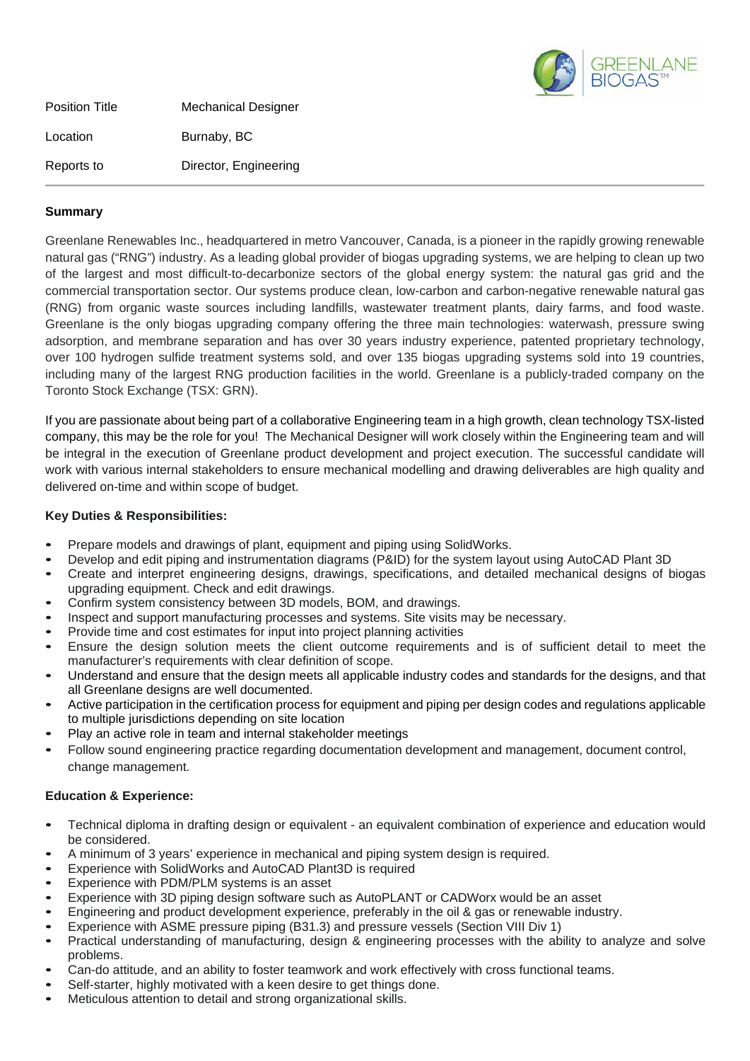

Position Title Mechanical Designer Location **Burnaby**, BC Reports to Director, Engineering

## **Summary**

Greenlane Renewables Inc., headquartered in metro Vancouver, Canada, is a pioneer in the rapidly growing renewable natural gas ("RNG") industry. As a leading global provider of biogas upgrading systems, we are helping to clean up two of the largest and most difficult-to-decarbonize sectors of the global energy system: the natural gas grid and the commercial transportation sector. Our systems produce clean, low-carbon and carbon-negative renewable natural gas (RNG) from organic waste sources including landfills, wastewater treatment plants, dairy farms, and food waste. Greenlane is the only biogas upgrading company offering the three main technologies: waterwash, pressure swing adsorption, and membrane separation and has over 30 years industry experience, patented proprietary technology, over 100 hydrogen sulfide treatment systems sold, and over 135 biogas upgrading systems sold into 19 countries, including many of the largest RNG production facilities in the world. Greenlane is a publicly-traded company on the Toronto Stock Exchange (TSX: GRN).

If you are passionate about being part of a collaborative Engineering team in a high growth, clean technology TSX-listed company, this may be the role for you! The Mechanical Designer will work closely within the Engineering team and will be integral in the execution of Greenlane product development and project execution. The successful candidate will work with various internal stakeholders to ensure mechanical modelling and drawing deliverables are high quality and delivered on-time and within scope of budget.

## **Key Duties & Responsibilities:**

- Prepare models and drawings of plant, equipment and piping using SolidWorks.
- Develop and edit piping and instrumentation diagrams (P&ID) for the system layout using AutoCAD Plant 3D
- Create and interpret engineering designs, drawings, specifications, and detailed mechanical designs of biogas upgrading equipment. Check and edit drawings.
- Confirm system consistency between 3D models, BOM, and drawings.
- Inspect and support manufacturing processes and systems. Site visits may be necessary.
- Provide time and cost estimates for input into project planning activities
- Ensure the design solution meets the client outcome requirements and is of sufficient detail to meet the manufacturer's requirements with clear definition of scope.
- Understand and ensure that the design meets all applicable industry codes and standards for the designs, and that all Greenlane designs are well documented.
- Active participation in the certification process for equipment and piping per design codes and regulations applicable to multiple jurisdictions depending on site location
- Play an active role in team and internal stakeholder meetings
- Follow sound engineering practice regarding documentation development and management, document control, change management.

## **Education & Experience:**

- Technical diploma in drafting design or equivalent an equivalent combination of experience and education would be considered.
- A minimum of 3 years' experience in mechanical and piping system design is required.
- Experience with SolidWorks and AutoCAD Plant3D is required
- Experience with PDM/PLM systems is an asset
- Experience with 3D piping design software such as AutoPLANT or CADWorx would be an asset
- Engineering and product development experience, preferably in the oil & gas or renewable industry.
- Experience with ASME pressure piping (B31.3) and pressure vessels (Section VIII Div 1)
- Practical understanding of manufacturing, design & engineering processes with the ability to analyze and solve problems.
- Can-do attitude, and an ability to foster teamwork and work effectively with cross functional teams.
- Self-starter, highly motivated with a keen desire to get things done.
- Meticulous attention to detail and strong organizational skills.